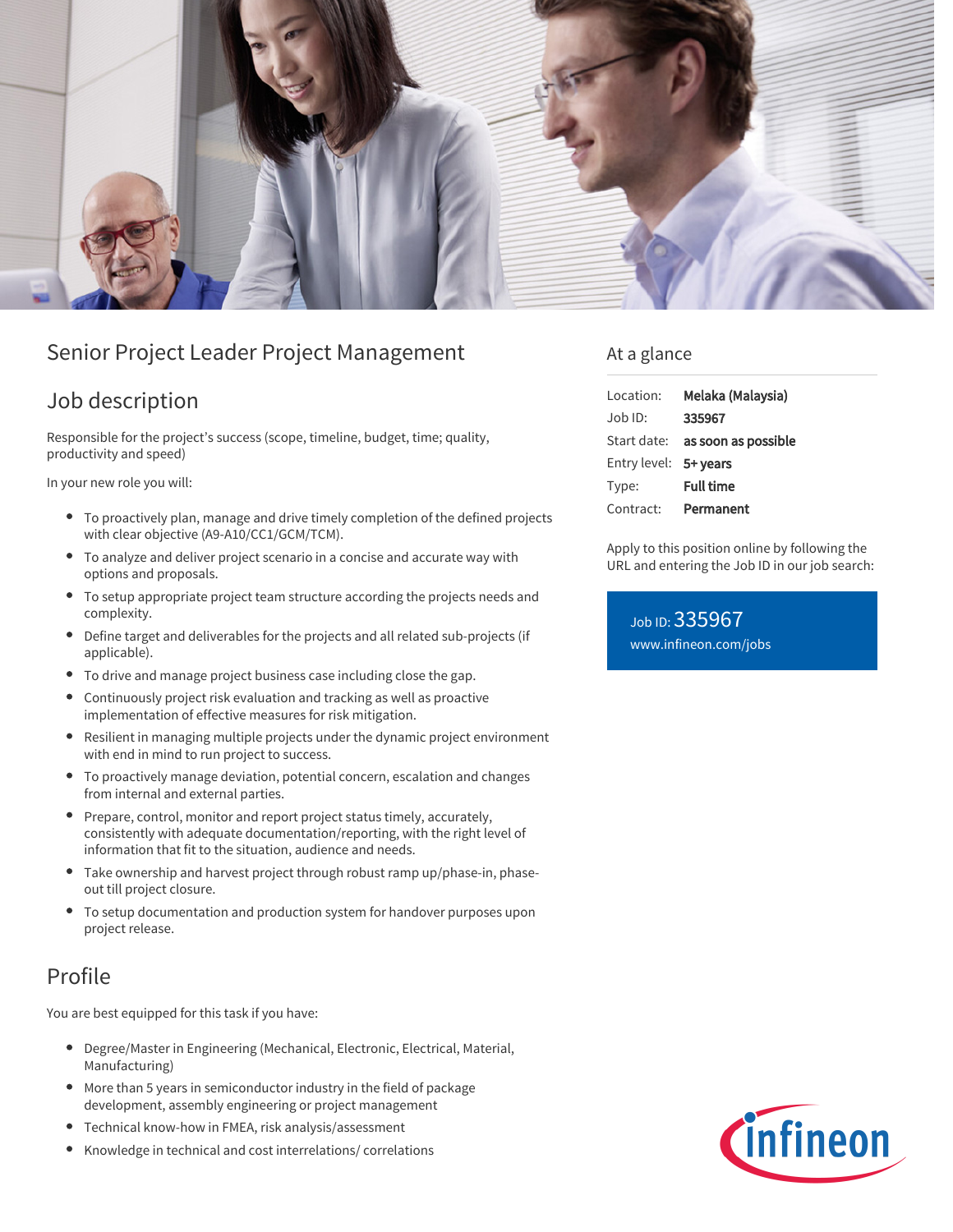

# Senior Project Leader Project Management

## Job description

Responsible for the project's success (scope, timeline, budget, time; quality, productivity and speed)

In your new role you will:

- To proactively plan, manage and drive timely completion of the defined projects with clear objective (A9-A10/CC1/GCM/TCM).
- To analyze and deliver project scenario in a concise and accurate way with options and proposals.
- To setup appropriate project team structure according the projects needs and complexity.
- Define target and deliverables for the projects and all related sub-projects (if applicable).
- To drive and manage project business case including close the gap.
- Continuously project risk evaluation and tracking as well as proactive implementation of effective measures for risk mitigation.
- Resilient in managing multiple projects under the dynamic project environment  $\bullet$ with end in mind to run project to success.
- To proactively manage deviation, potential concern, escalation and changes from internal and external parties.
- Prepare, control, monitor and report project status timely, accurately, consistently with adequate documentation/reporting, with the right level of information that fit to the situation, audience and needs.
- Take ownership and harvest project through robust ramp up/phase-in, phaseout till project closure.
- To setup documentation and production system for handover purposes upon project release.

# Profile

You are best equipped for this task if you have:

- Degree/Master in Engineering (Mechanical, Electronic, Electrical, Material,  $\bullet$ Manufacturing)
- More than 5 years in semiconductor industry in the field of package development, assembly engineering or project management
- Technical know-how in FMEA, risk analysis/assessment
- Knowledge in technical and cost interrelations/ correlations

### At a glance

| Location:             | Melaka (Malaysia)                      |
|-----------------------|----------------------------------------|
| $.$ lob $1D$ :        | 335967                                 |
|                       | Start date: <b>as soon as possible</b> |
| Entry level: 5+ years |                                        |
| Type:                 | <b>Full time</b>                       |
| Contract:             | Permanent                              |

Apply to this position online by following the URL and entering the Job ID in our job search:

Job ID: 335967 [www.infineon.com/jobs](https://www.infineon.com/jobs)